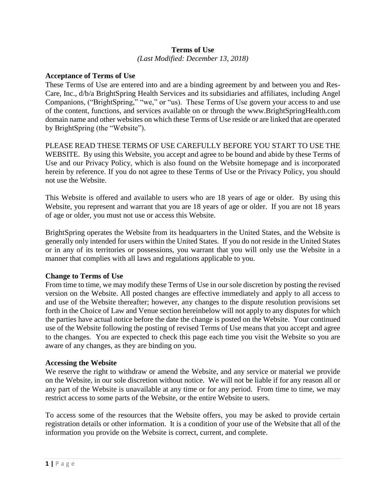### **Terms of Use** *(Last Modified: December 13, 2018)*

# **Acceptance of Terms of Use**

These Terms of Use are entered into and are a binding agreement by and between you and Res-Care, Inc., d/b/a BrightSpring Health Services and its subsidiaries and affiliates, including Angel Companions, ("BrightSpring," "we," or "us). These Terms of Use govern your access to and use of the content, functions, and services available on or through the www.BrightSpringHealth.com domain name and other websites on which these Terms of Use reside or are linked that are operated by BrightSpring (the "Website").

PLEASE READ THESE TERMS OF USE CAREFULLY BEFORE YOU START TO USE THE WEBSITE. By using this Website, you accept and agree to be bound and abide by these Terms of Use and our Privacy Policy, which is also found on the Website homepage and is incorporated herein by reference. If you do not agree to these Terms of Use or the Privacy Policy, you should not use the Website.

This Website is offered and available to users who are 18 years of age or older. By using this Website, you represent and warrant that you are 18 years of age or older. If you are not 18 years of age or older, you must not use or access this Website.

BrightSpring operates the Website from its headquarters in the United States, and the Website is generally only intended for users within the United States. If you do not reside in the United States or in any of its territories or possessions, you warrant that you will only use the Website in a manner that complies with all laws and regulations applicable to you.

### **Change to Terms of Use**

From time to time, we may modify these Terms of Use in our sole discretion by posting the revised version on the Website. All posted changes are effective immediately and apply to all access to and use of the Website thereafter; however, any changes to the dispute resolution provisions set forth in the Choice of Law and Venue section hereinbelow will not apply to any disputes for which the parties have actual notice before the date the change is posted on the Website. Your continued use of the Website following the posting of revised Terms of Use means that you accept and agree to the changes. You are expected to check this page each time you visit the Website so you are aware of any changes, as they are binding on you.

### **Accessing the Website**

We reserve the right to withdraw or amend the Website, and any service or material we provide on the Website, in our sole discretion without notice. We will not be liable if for any reason all or any part of the Website is unavailable at any time or for any period. From time to time, we may restrict access to some parts of the Website, or the entire Website to users.

To access some of the resources that the Website offers, you may be asked to provide certain registration details or other information. It is a condition of your use of the Website that all of the information you provide on the Website is correct, current, and complete.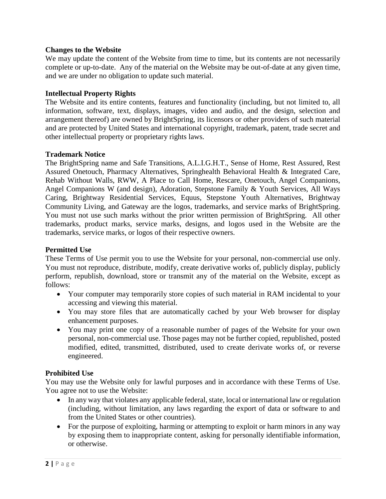# **Changes to the Website**

We may update the content of the Website from time to time, but its contents are not necessarily complete or up-to-date. Any of the material on the Website may be out-of-date at any given time, and we are under no obligation to update such material.

### **Intellectual Property Rights**

The Website and its entire contents, features and functionality (including, but not limited to, all information, software, text, displays, images, video and audio, and the design, selection and arrangement thereof) are owned by BrightSpring, its licensors or other providers of such material and are protected by United States and international copyright, trademark, patent, trade secret and other intellectual property or proprietary rights laws.

# **Trademark Notice**

The BrightSpring name and Safe Transitions, A.L.I.G.H.T., Sense of Home, Rest Assured, Rest Assured Onetouch, Pharmacy Alternatives, Springhealth Behavioral Health & Integrated Care, Rehab Without Walls, RWW, A Place to Call Home, Rescare, Onetouch, Angel Companions, Angel Companions W (and design), Adoration, Stepstone Family & Youth Services, All Ways Caring, Brightway Residential Services, Equus, Stepstone Youth Alternatives, Brightway Community Living, and Gateway are the logos, trademarks, and service marks of BrightSpring. You must not use such marks without the prior written permission of BrightSpring. All other trademarks, product marks, service marks, designs, and logos used in the Website are the trademarks, service marks, or logos of their respective owners.

### **Permitted Use**

These Terms of Use permit you to use the Website for your personal, non-commercial use only. You must not reproduce, distribute, modify, create derivative works of, publicly display, publicly perform, republish, download, store or transmit any of the material on the Website, except as follows:

- Your computer may temporarily store copies of such material in RAM incidental to your accessing and viewing this material.
- You may store files that are automatically cached by your Web browser for display enhancement purposes.
- You may print one copy of a reasonable number of pages of the Website for your own personal, non-commercial use. Those pages may not be further copied, republished, posted modified, edited, transmitted, distributed, used to create derivate works of, or reverse engineered.

### **Prohibited Use**

You may use the Website only for lawful purposes and in accordance with these Terms of Use. You agree not to use the Website:

- In any way that violates any applicable federal, state, local or international law or regulation (including, without limitation, any laws regarding the export of data or software to and from the United States or other countries).
- For the purpose of exploiting, harming or attempting to exploit or harm minors in any way by exposing them to inappropriate content, asking for personally identifiable information, or otherwise.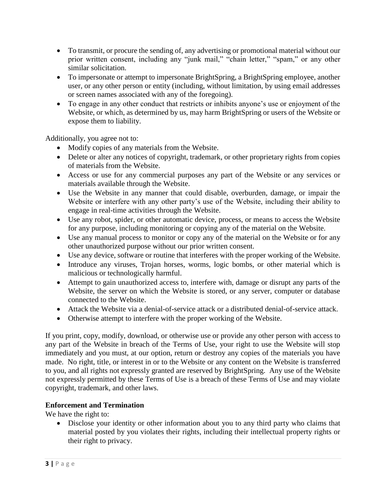- To transmit, or procure the sending of, any advertising or promotional material without our prior written consent, including any "junk mail," "chain letter," "spam," or any other similar solicitation.
- To impersonate or attempt to impersonate BrightSpring, a BrightSpring employee, another user, or any other person or entity (including, without limitation, by using email addresses or screen names associated with any of the foregoing).
- To engage in any other conduct that restricts or inhibits anyone's use or enjoyment of the Website, or which, as determined by us, may harm BrightSpring or users of the Website or expose them to liability.

Additionally, you agree not to:

- Modify copies of any materials from the Website.
- Delete or alter any notices of copyright, trademark, or other proprietary rights from copies of materials from the Website.
- Access or use for any commercial purposes any part of the Website or any services or materials available through the Website.
- Use the Website in any manner that could disable, overburden, damage, or impair the Website or interfere with any other party's use of the Website, including their ability to engage in real-time activities through the Website.
- Use any robot, spider, or other automatic device, process, or means to access the Website for any purpose, including monitoring or copying any of the material on the Website.
- Use any manual process to monitor or copy any of the material on the Website or for any other unauthorized purpose without our prior written consent.
- Use any device, software or routine that interferes with the proper working of the Website.
- Introduce any viruses, Trojan horses, worms, logic bombs, or other material which is malicious or technologically harmful.
- Attempt to gain unauthorized access to, interfere with, damage or disrupt any parts of the Website, the server on which the Website is stored, or any server, computer or database connected to the Website.
- Attack the Website via a denial-of-service attack or a distributed denial-of-service attack.
- Otherwise attempt to interfere with the proper working of the Website.

If you print, copy, modify, download, or otherwise use or provide any other person with access to any part of the Website in breach of the Terms of Use, your right to use the Website will stop immediately and you must, at our option, return or destroy any copies of the materials you have made. No right, title, or interest in or to the Website or any content on the Website is transferred to you, and all rights not expressly granted are reserved by BrightSpring. Any use of the Website not expressly permitted by these Terms of Use is a breach of these Terms of Use and may violate copyright, trademark, and other laws.

# **Enforcement and Termination**

We have the right to:

• Disclose your identity or other information about you to any third party who claims that material posted by you violates their rights, including their intellectual property rights or their right to privacy.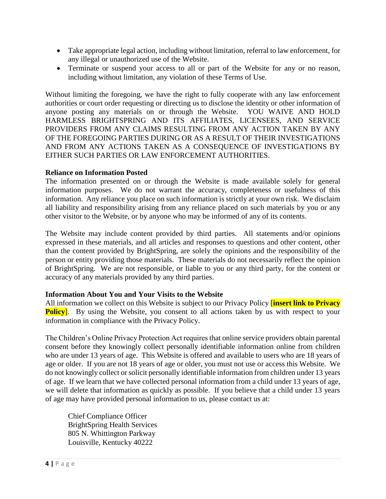- Take appropriate legal action, including without limitation, referral to law enforcement, for any illegal or unauthorized use of the Website.
- Terminate or suspend your access to all or part of the Website for any or no reason, including without limitation, any violation of these Terms of Use.

Without limiting the foregoing, we have the right to fully cooperate with any law enforcement authorities or court order requesting or directing us to disclose the identity or other information of anyone posting any materials on or through the Website. YOU WAIVE AND HOLD HARMLESS BRIGHTSPRING AND ITS AFFILIATES, LICENSEES, AND SERVICE PROVIDERS FROM ANY CLAIMS RESULTING FROM ANY ACTION TAKEN BY ANY OF THE FOREGOING PARTIES DURING OR AS A RESULT OF THEIR INVESTIGATIONS AND FROM ANY ACTIONS TAKEN AS A CONSEQUENCE OF INVESTIGATIONS BY EITHER SUCH PARTIES OR LAW ENFORCEMENT AUTHORITIES.

# **Reliance on Information Posted**

The information presented on or through the Website is made available solely for general information purposes. We do not warrant the accuracy, completeness or usefulness of this information. Any reliance you place on such information is strictly at your own risk. We disclaim all liability and responsibility arising from any reliance placed on such materials by you or any other visitor to the Website, or by anyone who may be informed of any of its contents.

The Website may include content provided by third parties. All statements and/or opinions expressed in these materials, and all articles and responses to questions and other content, other than the content provided by BrightSpring, are solely the opinions and the responsibility of the person or entity providing those materials. These materials do not necessarily reflect the opinion of BrightSpring. We are not responsible, or liable to you or any third party, for the content or accuracy of any materials provided by any third parties.

### **Information About You and Your Visits to the Website**

All information we collect on this Website is subject to our Privacy Policy [**insert link to Privacy Policy**. By using the Website, you consent to all actions taken by us with respect to your information in compliance with the Privacy Policy.

The Children's Online Privacy Protection Act requires that online service providers obtain parental consent before they knowingly collect personally identifiable information online from children who are under 13 years of age. This Website is offered and available to users who are 18 years of age or older. If you are not 18 years of age or older, you must not use or access this Website. We do not knowingly collect or solicit personally identifiable information from children under 13 years of age. If we learn that we have collected personal information from a child under 13 years of age, we will delete that information as quickly as possible. If you believe that a child under 13 years of age may have provided personal information to us, please contact us at:

Chief Compliance Officer BrightSpring Health Services 805 N. Whittington Parkway Louisville, Kentucky 40222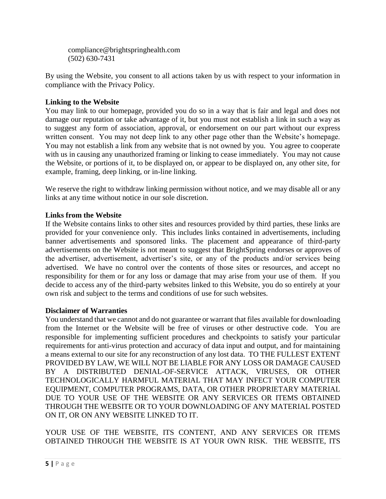compliance@brightspringhealth.com (502) 630-7431

By using the Website, you consent to all actions taken by us with respect to your information in compliance with the Privacy Policy.

# **Linking to the Website**

You may link to our homepage, provided you do so in a way that is fair and legal and does not damage our reputation or take advantage of it, but you must not establish a link in such a way as to suggest any form of association, approval, or endorsement on our part without our express written consent. You may not deep link to any other page other than the Website's homepage. You may not establish a link from any website that is not owned by you. You agree to cooperate with us in causing any unauthorized framing or linking to cease immediately. You may not cause the Website, or portions of it, to be displayed on, or appear to be displayed on, any other site, for example, framing, deep linking, or in-line linking.

We reserve the right to withdraw linking permission without notice, and we may disable all or any links at any time without notice in our sole discretion.

# **Links from the Website**

If the Website contains links to other sites and resources provided by third parties, these links are provided for your convenience only. This includes links contained in advertisements, including banner advertisements and sponsored links. The placement and appearance of third-party advertisements on the Website is not meant to suggest that BrightSpring endorses or approves of the advertiser, advertisement, advertiser's site, or any of the products and/or services being advertised. We have no control over the contents of those sites or resources, and accept no responsibility for them or for any loss or damage that may arise from your use of them. If you decide to access any of the third-party websites linked to this Website, you do so entirely at your own risk and subject to the terms and conditions of use for such websites.

# **Disclaimer of Warranties**

You understand that we cannot and do not guarantee or warrant that files available for downloading from the Internet or the Website will be free of viruses or other destructive code. You are responsible for implementing sufficient procedures and checkpoints to satisfy your particular requirements for anti-virus protection and accuracy of data input and output, and for maintaining a means external to our site for any reconstruction of any lost data. TO THE FULLEST EXTENT PROVIDED BY LAW, WE WILL NOT BE LIABLE FOR ANY LOSS OR DAMAGE CAUSED BY A DISTRIBUTED DENIAL-OF-SERVICE ATTACK, VIRUSES, OR OTHER TECHNOLOGICALLY HARMFUL MATERIAL THAT MAY INFECT YOUR COMPUTER EQUIPMENT, COMPUTER PROGRAMS, DATA, OR OTHER PROPRIETARY MATERIAL DUE TO YOUR USE OF THE WEBSITE OR ANY SERVICES OR ITEMS OBTAINED THROUGH THE WEBSITE OR TO YOUR DOWNLOADING OF ANY MATERIAL POSTED ON IT, OR ON ANY WEBSITE LINKED TO IT.

YOUR USE OF THE WEBSITE, ITS CONTENT, AND ANY SERVICES OR ITEMS OBTAINED THROUGH THE WEBSITE IS AT YOUR OWN RISK. THE WEBSITE, ITS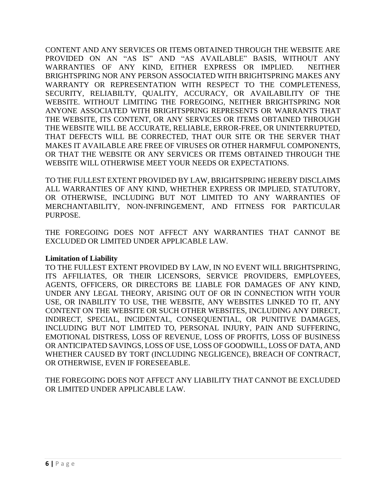CONTENT AND ANY SERVICES OR ITEMS OBTAINED THROUGH THE WEBSITE ARE PROVIDED ON AN "AS IS" AND "AS AVAILABLE" BASIS, WITHOUT ANY WARRANTIES OF ANY KIND, EITHER EXPRESS OR IMPLIED. NEITHER BRIGHTSPRING NOR ANY PERSON ASSOCIATED WITH BRIGHTSPRING MAKES ANY WARRANTY OR REPRESENTATION WITH RESPECT TO THE COMPLETENESS, SECURITY, RELIABILTY, QUALITY, ACCURACY, OR AVAILABILITY OF THE WEBSITE. WITHOUT LIMITING THE FOREGOING, NEITHER BRIGHTSPRING NOR ANYONE ASSOCIATED WITH BRIGHTSPRING REPRESENTS OR WARRANTS THAT THE WEBSITE, ITS CONTENT, OR ANY SERVICES OR ITEMS OBTAINED THROUGH THE WEBSITE WILL BE ACCURATE, RELIABLE, ERROR-FREE, OR UNINTERRUPTED, THAT DEFECTS WILL BE CORRECTED, THAT OUR SITE OR THE SERVER THAT MAKES IT AVAILABLE ARE FREE OF VIRUSES OR OTHER HARMFUL COMPONENTS, OR THAT THE WEBSITE OR ANY SERVICES OR ITEMS OBTAINED THROUGH THE WEBSITE WILL OTHERWISE MEET YOUR NEEDS OR EXPECTATIONS.

TO THE FULLEST EXTENT PROVIDED BY LAW, BRIGHTSPRING HEREBY DISCLAIMS ALL WARRANTIES OF ANY KIND, WHETHER EXPRESS OR IMPLIED, STATUTORY, OR OTHERWISE, INCLUDING BUT NOT LIMITED TO ANY WARRANTIES OF MERCHANTABILITY, NON-INFRINGEMENT, AND FITNESS FOR PARTICULAR PURPOSE.

THE FOREGOING DOES NOT AFFECT ANY WARRANTIES THAT CANNOT BE EXCLUDED OR LIMITED UNDER APPLICABLE LAW.

# **Limitation of Liability**

TO THE FULLEST EXTENT PROVIDED BY LAW, IN NO EVENT WILL BRIGHTSPRING, ITS AFFILIATES, OR THEIR LICENSORS, SERVICE PROVIDERS, EMPLOYEES, AGENTS, OFFICERS, OR DIRECTORS BE LIABLE FOR DAMAGES OF ANY KIND, UNDER ANY LEGAL THEORY, ARISING OUT OF OR IN CONNECTION WITH YOUR USE, OR INABILITY TO USE, THE WEBSITE, ANY WEBSITES LINKED TO IT, ANY CONTENT ON THE WEBSITE OR SUCH OTHER WEBSITES, INCLUDING ANY DIRECT, INDIRECT, SPECIAL, INCIDENTAL, CONSEQUENTIAL, OR PUNITIVE DAMAGES, INCLUDING BUT NOT LIMITED TO, PERSONAL INJURY, PAIN AND SUFFERING, EMOTIONAL DISTRESS, LOSS OF REVENUE, LOSS OF PROFITS, LOSS OF BUSINESS OR ANTICIPATED SAVINGS, LOSS OF USE, LOSS OF GOODWILL, LOSS OF DATA, AND WHETHER CAUSED BY TORT (INCLUDING NEGLIGENCE), BREACH OF CONTRACT, OR OTHERWISE, EVEN IF FORESEEABLE.

THE FOREGOING DOES NOT AFFECT ANY LIABILITY THAT CANNOT BE EXCLUDED OR LIMITED UNDER APPLICABLE LAW.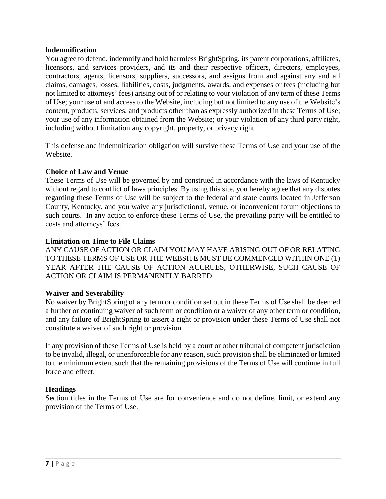### **lndemnification**

You agree to defend, indemnify and hold harmless BrightSpring, its parent corporations, affiliates, licensors, and services providers, and its and their respective officers, directors, employees, contractors, agents, licensors, suppliers, successors, and assigns from and against any and all claims, damages, losses, liabilities, costs, judgments, awards, and expenses or fees (including but not limited to attorneys' fees) arising out of or relating to your violation of any term of these Terms of Use; your use of and access to the Website, including but not limited to any use of the Website's content, products, services, and products other than as expressly authorized in these Terms of Use; your use of any information obtained from the Website; or your violation of any third party right, including without limitation any copyright, property, or privacy right.

This defense and indemnification obligation will survive these Terms of Use and your use of the Website.

# **Choice of Law and Venue**

These Terms of Use will be governed by and construed in accordance with the laws of Kentucky without regard to conflict of laws principles. By using this site, you hereby agree that any disputes regarding these Terms of Use will be subject to the federal and state courts located in Jefferson County, Kentucky, and you waive any jurisdictional, venue, or inconvenient forum objections to such courts. In any action to enforce these Terms of Use, the prevailing party will be entitled to costs and attorneys' fees.

# **Limitation on Time to File Claims**

ANY CAUSE OF ACTION OR CLAIM YOU MAY HAVE ARISING OUT OF OR RELATING TO THESE TERMS OF USE OR THE WEBSITE MUST BE COMMENCED WITHIN ONE (1) YEAR AFTER THE CAUSE OF ACTION ACCRUES, OTHERWISE, SUCH CAUSE OF ACTION OR CLAIM IS PERMANENTLY BARRED.

### **Waiver and Severability**

No waiver by BrightSpring of any term or condition set out in these Terms of Use shall be deemed a further or continuing waiver of such term or condition or a waiver of any other term or condition, and any failure of BrightSpring to assert a right or provision under these Terms of Use shall not constitute a waiver of such right or provision.

If any provision of these Terms of Use is held by a court or other tribunal of competent jurisdiction to be invalid, illegal, or unenforceable for any reason, such provision shall be eliminated or limited to the minimum extent such that the remaining provisions of the Terms of Use will continue in full force and effect.

# **Headings**

Section titles in the Terms of Use are for convenience and do not define, limit, or extend any provision of the Terms of Use.